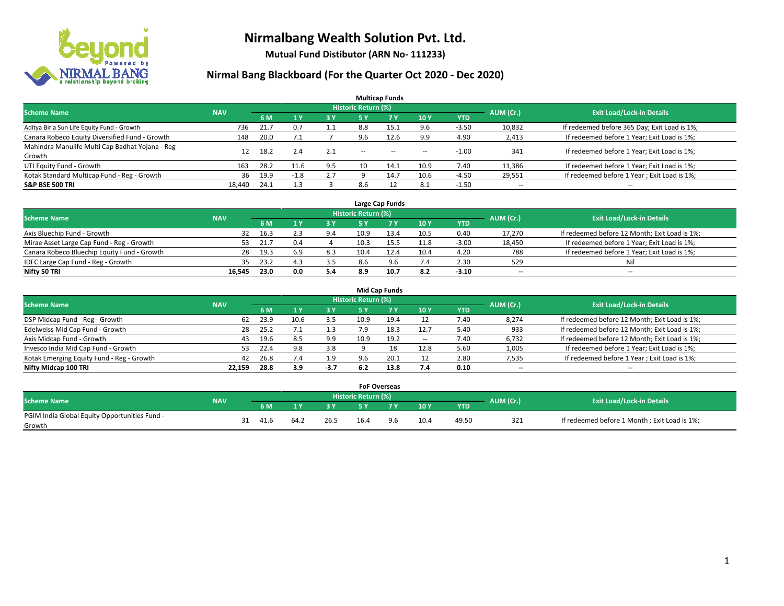

**Mutual Fund Distibutor (ARN No- 111233)**

| <b>Multicap Funds</b>                                                                                    |        |      |              |           |                          |                                                |                          |            |            |                                              |  |  |  |  |
|----------------------------------------------------------------------------------------------------------|--------|------|--------------|-----------|--------------------------|------------------------------------------------|--------------------------|------------|------------|----------------------------------------------|--|--|--|--|
| Historic Return (%)<br><b>Exit Load/Lock-in Details</b><br>AUM (Cr.)<br><b>Scheme Name</b><br><b>NAV</b> |        |      |              |           |                          |                                                |                          |            |            |                                              |  |  |  |  |
|                                                                                                          |        | 6 M  | $\sqrt{1}$ Y | <b>3Y</b> | 5 Y                      | <b>7Y</b>                                      | 10Y                      | <b>YTD</b> |            |                                              |  |  |  |  |
| Aditya Birla Sun Life Equity Fund - Growth                                                               | 736    | 21.7 | 0.7          | 1.1       | 8.8                      | 15.1                                           | 9.6                      | $-3.50$    | 10,832     | If redeemed before 365 Day; Exit Load is 1%; |  |  |  |  |
| Canara Robeco Equity Diversified Fund - Growth                                                           | 148    | 20.0 | 7.1          |           | 9.6                      | 12.6                                           | 9.9                      | 4.90       | 2,413      | If redeemed before 1 Year; Exit Load is 1%;  |  |  |  |  |
| Mahindra Manulife Multi Cap Badhat Yojana - Reg -                                                        |        | 18.2 | 2.4          | 2.1       | $\overline{\phantom{a}}$ | $\hspace{0.1mm}-\hspace{0.1mm}-\hspace{0.1mm}$ |                          | $-1.00$    | 341        | If redeemed before 1 Year; Exit Load is 1%;  |  |  |  |  |
| Growth                                                                                                   |        |      |              |           |                          |                                                | $\overline{\phantom{a}}$ |            |            |                                              |  |  |  |  |
| UTI Equity Fund - Growth                                                                                 | 163    | 28.2 | 11.6         | 9.5       | 10                       | 14.1                                           | 10.9                     | 7.40       | 11,386     | If redeemed before 1 Year; Exit Load is 1%;  |  |  |  |  |
| Kotak Standard Multicap Fund - Reg - Growth                                                              | 36     | 19.9 | $-1.8$       | 2.7       |                          | 14.7                                           | 10.6                     | $-4.50$    | 29,551     | If redeemed before 1 Year; Exit Load is 1%;  |  |  |  |  |
| <b>S&amp;P BSE 500 TRI</b>                                                                               | 18.440 | 24.1 |              |           | 8.6                      |                                                | 8.1                      | $-1.50$    | $\sim$ $-$ | $- -$                                        |  |  |  |  |

|                                             |            |           |                                  |     |      | Large Cap Funds |      |            |        |                                               |
|---------------------------------------------|------------|-----------|----------------------------------|-----|------|-----------------|------|------------|--------|-----------------------------------------------|
| <b>Scheme Name</b>                          | <b>NAV</b> | AUM (Cr.) | <b>Exit Load/Lock-in Details</b> |     |      |                 |      |            |        |                                               |
|                                             |            | 6 M       |                                  | 3 Y |      | 7 Y             | 10Y  | <b>YTD</b> |        |                                               |
| Axis Bluechip Fund - Growth                 | 32         | - 16.     |                                  | 9.4 | 10.9 | 13.4            | 10.5 | 0.40       | 17,270 | If redeemed before 12 Month; Exit Load is 1%; |
| Mirae Asset Large Cap Fund - Reg - Growth   | 53.        | 21.7      | 0.4                              |     | 10.3 |                 | 11.8 | $-3.00$    | 18,450 | If redeemed before 1 Year; Exit Load is 1%;   |
| Canara Robeco Bluechip Equity Fund - Growth | 28         | 19.3      | -6.9                             | 8.3 | 10.4 |                 | 10.4 | 4.20       | 788    | If redeemed before 1 Year; Exit Load is 1%;   |
| IDFC Large Cap Fund - Reg - Growth          | 35.        | 23.2      |                                  | 3.5 | 8.6  | 9.6             | 7.4  | 2.30       | 529    | Nil                                           |
| Nifty 50 TRI                                | 16.545     | 23.0      | 0.0                              | 5.4 | 8.9  | 10.7            | 8.2  | $-3.10$    | $- -$  | $-$                                           |

| <b>Mid Cap Funds</b>                      |            |            |                                  |           |      |      |       |            |                          |                                               |  |  |  |  |
|-------------------------------------------|------------|------------|----------------------------------|-----------|------|------|-------|------------|--------------------------|-----------------------------------------------|--|--|--|--|
| <b>Scheme Name</b>                        | <b>NAV</b> | AUM (Cr.)  | <b>Exit Load/Lock-in Details</b> |           |      |      |       |            |                          |                                               |  |  |  |  |
|                                           |            | 6 M        |                                  | <b>3Y</b> | 5 Y  |      | 10Y   | <b>YTD</b> |                          |                                               |  |  |  |  |
| DSP Midcap Fund - Reg - Growth            |            | 23.9<br>62 | 10.6                             | 3.5       | 10.9 | 19.4 | 12    | 7.40       | 8,274                    | If redeemed before 12 Month; Exit Load is 1%; |  |  |  |  |
| Edelweiss Mid Cap Fund - Growth           |            | 25.2<br>28 |                                  |           |      | 18.3 | 12.7  | 5.40       | 933                      | If redeemed before 12 Month; Exit Load is 1%; |  |  |  |  |
| Axis Midcap Fund - Growth                 |            | 19.6<br>43 | 8.5                              | 9.9       | 10.9 | 19.2 | $\!-$ | 7.40       | 6,732                    | If redeemed before 12 Month; Exit Load is 1%; |  |  |  |  |
| Invesco India Mid Cap Fund - Growth       |            | 22.4<br>53 | 9.8                              | 3.8       |      |      | 12.8  | 5.60       | 1,005                    | If redeemed before 1 Year; Exit Load is 1%;   |  |  |  |  |
| Kotak Emerging Equity Fund - Reg - Growth |            | 42<br>26.8 | 7.4                              | 1.9       | 9.6  | 20.1 | 12    | 2.80       | 7,535                    | If redeemed before 1 Year; Exit Load is 1%;   |  |  |  |  |
| Nifty Midcap 100 TRI                      | 22.159     | 28.8       | 3.9                              | $-3.7$    |      | 13.8 | 7.4   | 0.10       | $\overline{\phantom{m}}$ | $\overline{\phantom{a}}$                      |  |  |  |  |

|                                                         |            |      |      |      | <b>FoF Overseas</b> |    |      |            |           |                                              |
|---------------------------------------------------------|------------|------|------|------|---------------------|----|------|------------|-----------|----------------------------------------------|
| Scheme Name                                             | <b>NAV</b> |      |      |      | Historic Return (%) |    |      |            | AUM (Cr.) | <b>Exit Load/Lock-in Details</b>             |
|                                                         |            | 6 M  |      | י כ  |                     |    | 10Y  | <b>YTD</b> |           |                                              |
| PGIM India Global Equity Opportunities Fund -<br>Growth |            | 41.6 | 64.2 | 26.5 | 16.4                | 96 | 10.4 | 49.50      | 321       | If redeemed before 1 Month; Exit Load is 1%; |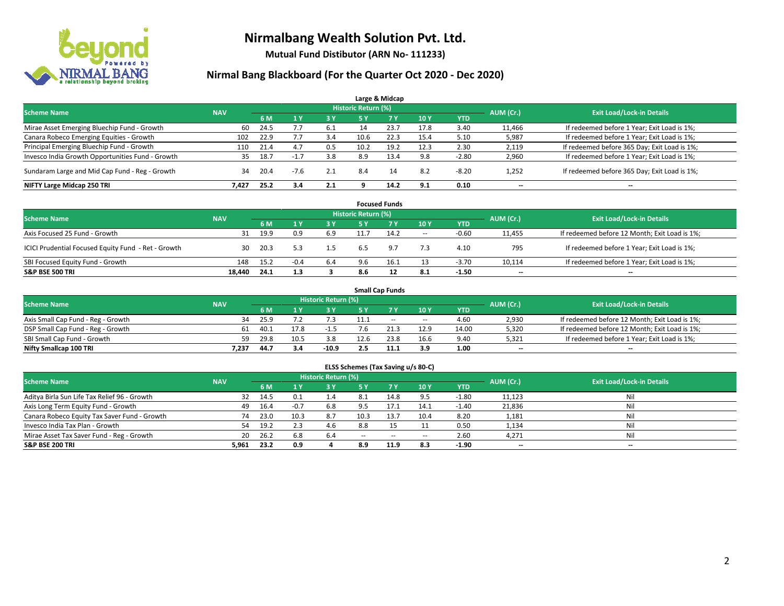

**Mutual Fund Distibutor (ARN No- 111233)**

| Large & Midcap                                   |                                                                                                                 |      |                |     |      |      |      |            |        |                                              |  |  |  |  |  |
|--------------------------------------------------|-----------------------------------------------------------------------------------------------------------------|------|----------------|-----|------|------|------|------------|--------|----------------------------------------------|--|--|--|--|--|
|                                                  | <b>Historic Return (%)</b><br><b>Scheme Name</b><br><b>Exit Load/Lock-in Details</b><br>AUM (Cr.)<br><b>NAV</b> |      |                |     |      |      |      |            |        |                                              |  |  |  |  |  |
|                                                  |                                                                                                                 | 6 M  | 1 <sub>Y</sub> | 3 Y | 5 Y  | 7Y   | 10Y  | <b>YTD</b> |        |                                              |  |  |  |  |  |
| Mirae Asset Emerging Bluechip Fund - Growth      | 60                                                                                                              | 24.5 |                | 6.1 | 14   | 23.7 | 17.8 | 3.40       | 11,466 | If redeemed before 1 Year; Exit Load is 1%;  |  |  |  |  |  |
| Canara Robeco Emerging Equities - Growth         | 102                                                                                                             | 22.9 |                | 3.4 | 10.6 | 22.3 | 15.4 | 5.10       | 5,987  | If redeemed before 1 Year; Exit Load is 1%;  |  |  |  |  |  |
| Principal Emerging Bluechip Fund - Growth        | 110                                                                                                             | 21.4 | 4.7            | 0.5 | 10.2 | 19.2 | 12.3 | 2.30       | 2,119  | If redeemed before 365 Day; Exit Load is 1%; |  |  |  |  |  |
| Invesco India Growth Opportunities Fund - Growth | 35                                                                                                              | 18.7 | $-1.7$         | 3.8 | 8.9  | 13.4 | 9.8  | $-2.80$    | 2,960  | If redeemed before 1 Year; Exit Load is 1%;  |  |  |  |  |  |
| Sundaram Large and Mid Cap Fund - Reg - Growth   | 34                                                                                                              | 20.4 | $-7.6$         | 2.1 | 8.4  | 14   | 8.2  | $-8.20$    | 1,252  | If redeemed before 365 Day; Exit Load is 1%; |  |  |  |  |  |
| NIFTY Large Midcap 250 TRI                       | 7.427                                                                                                           | 25.2 | 3.4            | 2.1 |      | 14.2 | 9.1  | 0.10       | $- -$  | $\overline{\phantom{a}}$                     |  |  |  |  |  |

|                                                     |            |      |           |                                  |     | <b>Focused Funds</b> |        |         |        |                                               |
|-----------------------------------------------------|------------|------|-----------|----------------------------------|-----|----------------------|--------|---------|--------|-----------------------------------------------|
| <b>Scheme Name</b>                                  | <b>NAV</b> |      | AUM (Cr.) | <b>Exit Load/Lock-in Details</b> |     |                      |        |         |        |                                               |
|                                                     |            | 6 M  |           | <b>3Y</b>                        | 5 Y | 7V                   | 10Y    | YTD     |        |                                               |
| Axis Focused 25 Fund - Growth                       | 31         | 19.9 | 0.9       | 6.9                              |     | 14.2                 | $\sim$ | $-0.60$ | 11,455 | If redeemed before 12 Month; Exit Load is 1%; |
| ICICI Prudential Focused Equity Fund - Ret - Growth | 30         | 20.3 |           | 1.5                              | 6.5 | 9.7                  | 7.3    | 4.10    | 795    | If redeemed before 1 Year; Exit Load is 1%;   |
| SBI Focused Equity Fund - Growth                    | 148        | 15.2 | $-0.4$    | 6.4                              |     | 16.1                 | 13     | $-3.70$ | 10,114 | If redeemed before 1 Year; Exit Load is 1%;   |
| <b>S&amp;P BSE 500 TRI</b>                          | 18.440     | 24.1 | 1.3       |                                  | 8.6 |                      | 8.1    | $-1.50$ | $- -$  | $\overline{\phantom{a}}$                      |

|                                    |            |      |      |                     |      | <b>Small Cap Funds</b> |                          |            |           |                                               |
|------------------------------------|------------|------|------|---------------------|------|------------------------|--------------------------|------------|-----------|-----------------------------------------------|
| <b>Scheme Name</b>                 | <b>NAV</b> |      |      | Historic Return (%) |      |                        |                          |            |           | <b>Exit Load/Lock-in Details</b>              |
|                                    |            | 6 M  |      | 3 Y                 | 5 Y  |                        | 10Y                      | <b>YTD</b> | AUM (Cr.) |                                               |
| Axis Small Cap Fund - Reg - Growth | 34         | 25.9 |      |                     | 11.1 | $-$                    | $\hspace{0.05cm} \cdots$ | 4.60       | 2,930     | If redeemed before 12 Month; Exit Load is 1%; |
| DSP Small Cap Fund - Reg - Growth  | 61         | 40.1 | 17.8 | -1.5                |      |                        | 12.9                     | 14.00      | 5,320     | If redeemed before 12 Month; Exit Load is 1%; |
| SBI Small Cap Fund - Growth        | 59         | 29.8 | 10.5 | 3.8                 | 12.6 | 23.8                   | 16.6                     | 9.40       | 5,321     | If redeemed before 1 Year; Exit Load is 1%;   |
| Nifty Smallcap 100 TRI             | 7.237      | 44.7 | 3.4  | $-10.9$             |      | 11.1                   | 3.9                      | 1.00       | $- -$     | $\overline{\phantom{a}}$                      |

| ELSS Schemes (Tax Saving u/s 80-C)                                                                              |       |      |        |     |               |             |                          |            |        |                          |  |  |  |  |
|-----------------------------------------------------------------------------------------------------------------|-------|------|--------|-----|---------------|-------------|--------------------------|------------|--------|--------------------------|--|--|--|--|
| <b>Historic Return (%)</b><br><b>Exit Load/Lock-in Details</b><br>AUM (Cr.)<br><b>Scheme Name</b><br><b>NAV</b> |       |      |        |     |               |             |                          |            |        |                          |  |  |  |  |
|                                                                                                                 |       | 6 M  | /1 Y   | 3 Y | <b>5Y</b>     | <b>77 Y</b> | <b>10Y</b>               | <b>YTD</b> |        |                          |  |  |  |  |
| Aditya Birla Sun Life Tax Relief 96 - Growth                                                                    | 32    | 14.5 | 0.1    | 1.4 | 8.1           | 14.8        | 9.5                      | $-1.80$    | 11,123 | Nil                      |  |  |  |  |
| Axis Long Term Equity Fund - Growth                                                                             | 49    | 16.4 | $-0.7$ | 6.8 | 9.5           | 17.1        | 14.1                     | $-1.40$    | 21,836 | Nil                      |  |  |  |  |
| Canara Robeco Equity Tax Saver Fund - Growth                                                                    | 74    | 23.0 | 10.3   | 8.7 | 10.3          | 13.7        | 10.4                     | 8.20       | 1,181  | Nil                      |  |  |  |  |
| Invesco India Tax Plan - Growth                                                                                 | 54    | 19.2 | 2.3    | 4.6 | 8.8           | 15          |                          | 0.50       | 1,134  | Nil                      |  |  |  |  |
| Mirae Asset Tax Saver Fund - Reg - Growth                                                                       | 20    | 26.2 | 6.8    | 6.4 | $\sim$ $\sim$ | $\sim$      | $\overline{\phantom{a}}$ | 2.60       | 4,271  | Nil                      |  |  |  |  |
| S&P BSE 200 TRI                                                                                                 | 5,961 | 23.2 | 0.9    |     | 8.9           | 11.9        | 8.3                      | $-1.90$    | $- -$  | $\overline{\phantom{a}}$ |  |  |  |  |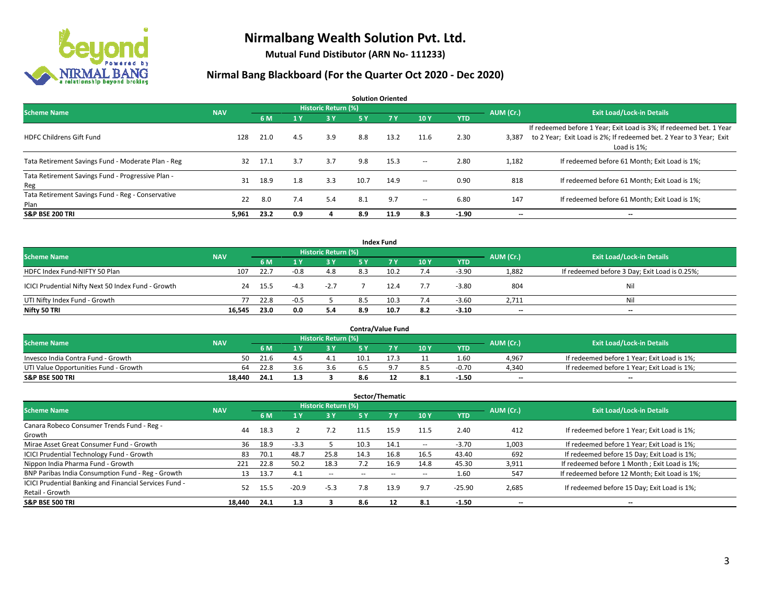

**Mutual Fund Distibutor (ARN No- 111233)**

| <b>Solution Oriented</b>                                  |            |      |     |                            |      |      |        |            |           |                                                                                                                                                           |  |  |  |
|-----------------------------------------------------------|------------|------|-----|----------------------------|------|------|--------|------------|-----------|-----------------------------------------------------------------------------------------------------------------------------------------------------------|--|--|--|
| <b>Scheme Name</b>                                        | <b>NAV</b> |      |     | <b>Historic Return (%)</b> |      |      |        |            | AUM (Cr.) | <b>Exit Load/Lock-in Details</b>                                                                                                                          |  |  |  |
|                                                           |            | 6 M  | 1 Y | 3 Y                        | 5 Y  | 7Y   | 10Y    | <b>YTD</b> |           |                                                                                                                                                           |  |  |  |
| <b>HDFC Childrens Gift Fund</b>                           | 128        | 21.0 | 4.5 | 3.9                        | 8.8  | 13.2 | 11.6   | 2.30       | 3,387     | If redeemed before 1 Year; Exit Load is 3%; If redeemed bet. 1 Year<br>to 2 Year; Exit Load is 2%; If redeemed bet. 2 Year to 3 Year; Exit<br>Load is 1%; |  |  |  |
| Tata Retirement Savings Fund - Moderate Plan - Reg        | 32         | 17.1 | 3.7 | 3.7                        | 9.8  | 15.3 | $\sim$ | 2.80       | 1,182     | If redeemed before 61 Month; Exit Load is 1%;                                                                                                             |  |  |  |
| Tata Retirement Savings Fund - Progressive Plan -<br>Reg  | 31         | 18.9 | 1.8 | 3.3                        | 10.7 | 14.9 | $\sim$ | 0.90       | 818       | If redeemed before 61 Month; Exit Load is 1%;                                                                                                             |  |  |  |
| Tata Retirement Savings Fund - Reg - Conservative<br>Plan | 22         | 8.0  | 7.4 | 5.4                        | 8.1  | 9.7  | $\sim$ | 6.80       | 147       | If redeemed before 61 Month; Exit Load is 1%;                                                                                                             |  |  |  |
| <b>S&amp;P BSE 200 TRI</b>                                | 5,961      | 23.2 | 0.9 |                            | 8.9  | 11.9 | 8.3    | $-1.90$    | --        | --                                                                                                                                                        |  |  |  |

|                                                    |            |      |        |                     |     | <b>Index Fund</b> |     |            |           |                                               |
|----------------------------------------------------|------------|------|--------|---------------------|-----|-------------------|-----|------------|-----------|-----------------------------------------------|
| <b>Scheme Name</b>                                 | <b>NAV</b> |      |        | Historic Return (%) |     |                   |     |            | AUM (Cr.) | <b>Exit Load/Lock-in Details</b>              |
|                                                    |            | 6 M  |        | 3 Y                 | 5 Y | 7Y                | 10Y | <b>YTD</b> |           |                                               |
| HDFC Index Fund-NIFTY 50 Plan                      | 107        | 22.7 | $-0.8$ | 4.8                 | 8.3 |                   | 7.4 | $-3.90$    | 1,882     | If redeemed before 3 Day; Exit Load is 0.25%; |
| ICICI Prudential Nifty Next 50 Index Fund - Growth | 24         | 15.5 | -4.3   | $-2.7$              |     |                   | 7.7 | $-3.80$    | 804       | Nil                                           |
| UTI Nifty Index Fund - Growth                      | 77         | 22.8 | $-0.5$ |                     | 8.5 | 10.3              | 7.4 | $-3.60$    | 2.711     | Nil                                           |
| Nifty 50 TRI                                       | 16,545     | 23.0 | 0.0    | 5.4                 | 8.9 | 10.7              | 8.2 | $-3.10$    | $-$       | $-$                                           |

|                                       |            |      |                     |      | <b>Contra/Value Fund</b> |      |         |           |                                             |
|---------------------------------------|------------|------|---------------------|------|--------------------------|------|---------|-----------|---------------------------------------------|
| <b>Scheme Name</b>                    | <b>NAV</b> |      | Historic Return (%) |      |                          |      |         | AUM (Cr.) | <b>Exit Load/Lock-in Details</b>            |
|                                       |            | 6 M  | י כ                 |      |                          | 10Y  | YTD     |           |                                             |
| Invesco India Contra Fund - Growth    | 50         | 21.6 |                     | 10.1 |                          |      | 1.60    | 4,967     | If redeemed before 1 Year; Exit Load is 1%; |
| UTI Value Opportunities Fund - Growth | 64         | 22.8 | 3.b                 | 6.5  |                          | 8.5  | $-0.70$ | 4,340     | If redeemed before 1 Year; Exit Load is 1%; |
| <b>S&amp;P BSE 500 TRI</b>            | 18.440     | 24.1 |                     | 8.6  |                          | -8.1 | $-1.50$ | $- -$     | $\overline{\phantom{a}}$                    |

| Sector/Thematic                                                           |            |      |         |                            |      |           |                          |            |                          |                                               |  |  |  |
|---------------------------------------------------------------------------|------------|------|---------|----------------------------|------|-----------|--------------------------|------------|--------------------------|-----------------------------------------------|--|--|--|
| <b>Scheme Name</b>                                                        | <b>NAV</b> |      |         | <b>Historic Return (%)</b> |      |           |                          |            | AUM (Cr.)                | <b>Exit Load/Lock-in Details</b>              |  |  |  |
|                                                                           |            | 6 M  |         | 73 Y.                      | 5 Y  | <b>7Y</b> | 10Y                      | <b>YTD</b> |                          |                                               |  |  |  |
| Canara Robeco Consumer Trends Fund - Reg -<br>Growth                      | 44         | 18.3 |         | 7.2                        | 11.5 | 15.9      | 11.5                     | 2.40       | 412                      | If redeemed before 1 Year; Exit Load is 1%;   |  |  |  |
| Mirae Asset Great Consumer Fund - Growth                                  | 36         | 18.9 | $-3.3$  |                            | 10.3 | 14.1      | $\hspace{0.05cm} \ldots$ | $-3.70$    | 1,003                    | If redeemed before 1 Year; Exit Load is 1%;   |  |  |  |
| ICICI Prudential Technology Fund - Growth                                 | 83         | 70.1 | 48.7    | 25.8                       | 14.3 | 16.8      | 16.5                     | 43.40      | 692                      | If redeemed before 15 Day; Exit Load is 1%;   |  |  |  |
| Nippon India Pharma Fund - Growth                                         | 221        | 22.8 | 50.2    | 18.3                       |      | 16.9      | 14.8                     | 45.30      | 3,911                    | If redeemed before 1 Month; Exit Load is 1%;  |  |  |  |
| BNP Paribas India Consumption Fund - Reg - Growth                         | 13         | 13.7 | 4.1     | $- -$                      | $-$  | $\sim$    | -                        | 1.60       | 547                      | If redeemed before 12 Month; Exit Load is 1%; |  |  |  |
| ICICI Prudential Banking and Financial Services Fund -<br>Retail - Growth | 52         | 15.5 | $-20.9$ | $-5.3$                     | 7.8  | 13.9      | 9.7                      | $-25.90$   | 2,685                    | If redeemed before 15 Day; Exit Load is 1%;   |  |  |  |
| <b>S&amp;P BSE 500 TRI</b>                                                | 18.440     | 24.1 | 1.3     |                            | 8.6  | 12        | 8.1                      | $-1.50$    | $\overline{\phantom{a}}$ | --                                            |  |  |  |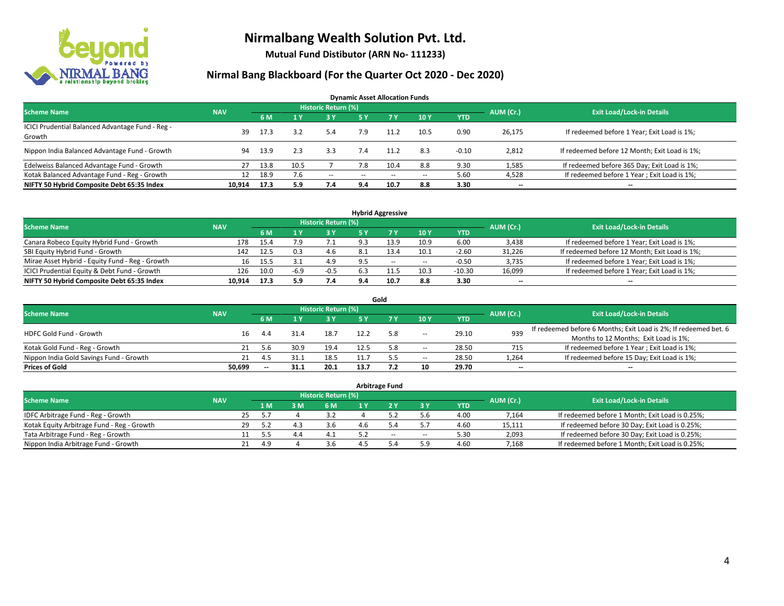

**Mutual Fund Distibutor (ARN No- 111233)**

| <b>Dynamic Asset Allocation Funds</b>                      |            |      |      |                            |           |                          |        |            |           |                                               |  |  |  |
|------------------------------------------------------------|------------|------|------|----------------------------|-----------|--------------------------|--------|------------|-----------|-----------------------------------------------|--|--|--|
| <b>Scheme Name</b>                                         | <b>NAV</b> |      |      | <b>Historic Return (%)</b> |           |                          |        |            | AUM (Cr.) | <b>Exit Load/Lock-in Details</b>              |  |  |  |
|                                                            |            | 6 M  |      | $-3V$                      | <b>5Y</b> | <b>7Y</b>                | 10Y    | <b>YTD</b> |           |                                               |  |  |  |
| ICICI Prudential Balanced Advantage Fund - Reg -<br>Growth | 39         | 17.3 | 3.2  | 5.4                        | 7.9       | 11.2                     | 10.5   | 0.90       | 26,175    | If redeemed before 1 Year; Exit Load is 1%;   |  |  |  |
| Nippon India Balanced Advantage Fund - Growth              | 94         | 13.9 | 2.3  | 3.3                        | 7.4       | 11.2                     | 8.3    | $-0.10$    | 2,812     | If redeemed before 12 Month; Exit Load is 1%; |  |  |  |
| Edelweiss Balanced Advantage Fund - Growth                 | 27         | 13.8 | 10.5 |                            | 7.8       | 10.4                     | 8.8    | 9.30       | 1,585     | If redeemed before 365 Day; Exit Load is 1%;  |  |  |  |
| Kotak Balanced Advantage Fund - Reg - Growth               | 12         | 18.9 | 7.6  | $\sim$                     | --        | $\overline{\phantom{a}}$ | $\sim$ | 5.60       | 4,528     | If redeemed before 1 Year; Exit Load is 1%;   |  |  |  |
| NIFTY 50 Hybrid Composite Debt 65:35 Index                 | 10.914     | 17.3 | 5.9  | 7.4                        | 9.4       | 10.7                     | 8.8    | 3.30       | --        | $\overline{\phantom{a}}$                      |  |  |  |

| <b>Hybrid Aggressive</b>                        |            |      |        |                            |                |      |        |            |           |                                               |  |  |  |
|-------------------------------------------------|------------|------|--------|----------------------------|----------------|------|--------|------------|-----------|-----------------------------------------------|--|--|--|
| <b>Scheme Name</b>                              | <b>NAV</b> |      |        | <b>Historic Return (%)</b> |                |      |        |            | AUM (Cr.) | <b>Exit Load/Lock-in Details</b>              |  |  |  |
|                                                 |            | 6 M  |        | 3 Y                        |                |      | 10Y    | <b>YTD</b> |           |                                               |  |  |  |
| Canara Robeco Equity Hybrid Fund - Growth       | 178        | 15.4 |        |                            | Q 3            | 13.9 | 10.9   | 6.00       | 3,438     | If redeemed before 1 Year; Exit Load is 1%;   |  |  |  |
| SBI Equity Hybrid Fund - Growth                 | 142        | 12.5 | 0.3    | 4.b                        | -8.1           | 13.4 | 10.1   | $-2.60$    | 31,226    | If redeemed before 12 Month; Exit Load is 1%; |  |  |  |
| Mirae Asset Hybrid - Equity Fund - Reg - Growth | 16         | 15.5 |        | 4.9                        | Q <sub>5</sub> | $-$  | $\sim$ | $-0.50$    | 3,735     | If redeemed before 1 Year; Exit Load is 1%;   |  |  |  |
| ICICI Prudential Equity & Debt Fund - Growth    | 126        | 10.0 | $-6.9$ | $-0.5$                     | 6.3            |      | 10.3   | $-10.30$   | 16,099    | If redeemed before 1 Year; Exit Load is 1%;   |  |  |  |
| NIFTY 50 Hybrid Composite Debt 65:35 Index      | 10.914     | 17.3 | 5.9    | 7.4                        | 9.4            |      | 8.8    | 3.30       | $- -$     | $\overline{\phantom{a}}$                      |  |  |  |

|                                         |            |           |      |                     |      | Gold |       |       |                          |                                                                                                           |
|-----------------------------------------|------------|-----------|------|---------------------|------|------|-------|-------|--------------------------|-----------------------------------------------------------------------------------------------------------|
| <b>Scheme Name</b>                      | <b>NAV</b> |           |      | Historic Return (%) |      |      |       |       | AUM (Cr.)                | <b>Exit Load/Lock-in Details</b>                                                                          |
|                                         |            | 6 M       |      | 3 Y                 | 5 Y  |      | 10Y   | YTD   |                          |                                                                                                           |
| HDFC Gold Fund - Growth                 |            | 16<br>4.4 |      | 18.7                | 12.2 | 5.8  | $\!-$ | 29.10 | 939                      | If redeemed before 6 Months; Exit Load is 2%; If redeemed bet. 6<br>Months to 12 Months; Exit Load is 1%; |
| Kotak Gold Fund - Reg - Growth          |            | 21<br>5.6 | 30.9 | 19.4                | 12.5 | 5.8  | $\!-$ | 28.50 | 715                      | If redeemed before 1 Year; Exit Load is 1%;                                                               |
| Nippon India Gold Savings Fund - Growth |            | 21<br>4.5 |      | 18.5                |      | 55   | $\!-$ | 28.50 | 1,264                    | If redeemed before 15 Day; Exit Load is 1%;                                                               |
| <b>Prices of Gold</b>                   | 50.699     | $- -$     | 31.1 | 20.1                | 13.7 |      | 10    | 29.70 | $\overline{\phantom{a}}$ | $\overline{\phantom{a}}$                                                                                  |

|                                            |            |    |     |     |                            | <b>Arbitrage Fund</b> |        |            |           |                                                 |
|--------------------------------------------|------------|----|-----|-----|----------------------------|-----------------------|--------|------------|-----------|-------------------------------------------------|
| <b>Scheme Name</b>                         | <b>NAV</b> |    |     |     | <b>Historic Return (%)</b> |                       |        |            | AUM (Cr.) | <b>Exit Load/Lock-in Details</b>                |
|                                            |            |    | 1 M | 3 M | 6 M                        |                       | ЗY     | <b>YTD</b> |           |                                                 |
| IDFC Arbitrage Fund - Reg - Growth         |            | 25 | 5.7 |     | 3.2                        |                       | 5.6    | 4.00       | 7,164     | If redeemed before 1 Month; Exit Load is 0.25%; |
| Kotak Equity Arbitrage Fund - Reg - Growth |            | 29 | 5.2 |     | 3.6                        |                       |        | 4.60       | 15,111    | If redeemed before 30 Day; Exit Load is 0.25%;  |
| Tata Arbitrage Fund - Reg - Growth         |            |    | 5.5 | 44  | 4.1                        | $-$                   | $\sim$ | 5.30       | 2,093     | If redeemed before 30 Day; Exit Load is 0.25%;  |
| Nippon India Arbitrage Fund - Growth       |            |    | 4.9 |     | 3.6                        |                       | 5.9    | 4.60       | 7.168     | If redeemed before 1 Month; Exit Load is 0.25%; |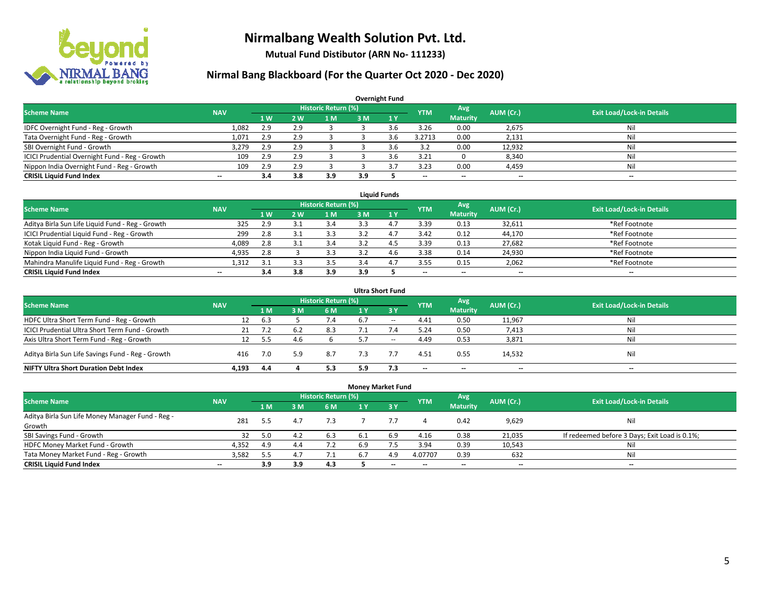

**Mutual Fund Distibutor (ARN No- 111233)**

|                                                |                          |     |            |                            |     | <b>Overnight Fund</b> |            |                          |                          |                                  |
|------------------------------------------------|--------------------------|-----|------------|----------------------------|-----|-----------------------|------------|--------------------------|--------------------------|----------------------------------|
| <b>Scheme Name</b>                             | <b>NAV</b>               |     |            | <b>Historic Return (%)</b> |     |                       | <b>YTM</b> | Avg                      | AUM (Cr.)                | <b>Exit Load/Lock-in Details</b> |
|                                                |                          | 1W  | <b>2 W</b> | 1 M                        | 3 M | $\sqrt{1}$ $\sqrt{}$  |            | <b>Maturity</b>          |                          |                                  |
| IDFC Overnight Fund - Reg - Growth             | 1,082                    | 2.9 | 2.9        |                            |     | 3.6                   | 3.26       | 0.00                     | 2,675                    | Nil                              |
| Tata Overnight Fund - Reg - Growth             | 1,071                    | 2.9 | 2.9        |                            |     | 3.6                   | 3.2713     | 0.00                     | 2,131                    | Nil                              |
| SBI Overnight Fund - Growth                    | 3,279                    | 2.9 | 2.9        |                            |     | 3.6                   | 3.2        | 0.00                     | 12,932                   | Nil                              |
| ICICI Prudential Overnight Fund - Reg - Growth | 109                      | 2.9 | 2.9        |                            |     | 3.6                   | 3.21       |                          | 8,340                    | Nil                              |
| Nippon India Overnight Fund - Reg - Growth     | 109                      | 2.9 | 2.9        |                            |     |                       | 3.23       | 0.00                     | 4,459                    | Nil                              |
| <b>CRISIL Liquid Fund Index</b>                | $\overline{\phantom{a}}$ | 3.4 | 3.8        | 3.9                        | 3.9 |                       | --         | $\overline{\phantom{a}}$ | $\overline{\phantom{m}}$ | $-$                              |

| <b>Liquid Funds</b>                              |            |                |    |                     |     |   |                          |                 |           |                                  |  |  |  |
|--------------------------------------------------|------------|----------------|----|---------------------|-----|---|--------------------------|-----------------|-----------|----------------------------------|--|--|--|
| <b>Scheme Name</b>                               | <b>NAV</b> |                |    | Historic Return (%) |     |   | <b>YTM</b>               | Avg             | AUM (Cr.) | <b>Exit Load/Lock-in Details</b> |  |  |  |
|                                                  |            | 1 <sub>W</sub> | 2W | 1 M                 | з м |   |                          | <b>Maturity</b> |           |                                  |  |  |  |
| Aditya Birla Sun Life Liquid Fund - Reg - Growth | 325        | 2.9            |    | 3.4                 |     |   | 3.39                     | 0.13            | 32,611    | *Ref Footnote                    |  |  |  |
| ICICI Prudential Liquid Fund - Reg - Growth      | 299        | 2.8            |    | 3.3                 |     |   | 3.42                     | 0.12            | 44,170    | *Ref Footnote                    |  |  |  |
| Kotak Liquid Fund - Reg - Growth                 | 4,089      | 2.8            |    | 3.4                 |     |   | 3.39                     | 0.13            | 27,682    | *Ref Footnote                    |  |  |  |
| Nippon India Liquid Fund - Growth                | 4,935      | 2.8            |    | 3.3                 |     | 4 | 3.38                     | 0.14            | 24,930    | *Ref Footnote                    |  |  |  |
| Mahindra Manulife Liquid Fund - Reg - Growth     | 1.312      | -3.1           |    | 3.5                 |     |   | 3.55                     | 0.15            | 2,062     | *Ref Footnote                    |  |  |  |
| <b>CRISIL Liquid Fund Index</b>                  | $- -$      | 3.4            |    | 3.9                 | 3.9 |   | $\overline{\phantom{a}}$ | $- -$           | $- -$     | $-$                              |  |  |  |

| <b>Ultra Short Fund</b>                           |            |     |     |                            |     |              |                          |                          |                          |                                  |  |  |  |
|---------------------------------------------------|------------|-----|-----|----------------------------|-----|--------------|--------------------------|--------------------------|--------------------------|----------------------------------|--|--|--|
| <b>Scheme Name</b>                                | <b>NAV</b> |     |     | <b>Historic Return (%)</b> |     |              | <b>YTM</b>               | Avg                      | AUM (Cr.)                | <b>Exit Load/Lock-in Details</b> |  |  |  |
|                                                   |            | 1 M | 3 M | 6 M                        | 1 Y | $\sqrt{3}$ Y |                          | <b>Maturity</b>          |                          |                                  |  |  |  |
| HDFC Ultra Short Term Fund - Reg - Growth         | 12         | 6.3 |     | 7.4                        | 6.7 | $\sim$       | 4.41                     | 0.50                     | 11,967                   | Nil                              |  |  |  |
| ICICI Prudential Ultra Short Term Fund - Growth   | 21         |     | 6.2 | 8.3                        |     |              | 5.24                     | 0.50                     | 7,413                    | Nil                              |  |  |  |
| Axis Ultra Short Term Fund - Reg - Growth         | 12         | 5.5 |     |                            |     | $\sim$       | 4.49                     | 0.53                     | 3,871                    | Nil                              |  |  |  |
| Aditya Birla Sun Life Savings Fund - Reg - Growth | 416        | 7.0 | 5.9 | 8.7                        | 7.3 |              | 4.51                     | 0.55                     | 14,532                   | Nil                              |  |  |  |
| <b>NIFTY Ultra Short Duration Debt Index</b>      | 4.193      | 4.4 |     | 5.3                        | 5.9 | 7.3          | $\overline{\phantom{a}}$ | $\overline{\phantom{a}}$ | $\overline{\phantom{a}}$ | $-$                              |  |  |  |

| <b>Money Market Fund</b>                         |                          |     |     |                            |     |           |            |                 |           |                                               |  |  |  |  |
|--------------------------------------------------|--------------------------|-----|-----|----------------------------|-----|-----------|------------|-----------------|-----------|-----------------------------------------------|--|--|--|--|
| <b>Scheme Name</b>                               | <b>NAV</b>               |     |     | <b>Historic Return (%)</b> |     |           | <b>YTM</b> | Avg             | AUM (Cr.) | <b>Exit Load/Lock-in Details</b>              |  |  |  |  |
|                                                  |                          | 1 M | 3M  | 6 M                        | 1 Y | $Z$ 3 $V$ |            | <b>Maturity</b> |           |                                               |  |  |  |  |
| Aditya Birla Sun Life Money Manager Fund - Reg - | 281                      | 5.5 | 4.7 | 7.3                        |     |           |            | 0.42            | 9,629     | Nil                                           |  |  |  |  |
| Growth                                           |                          |     |     |                            |     |           |            |                 |           |                                               |  |  |  |  |
| SBI Savings Fund - Growth                        | 32                       | 5.0 | 4.2 | 6.3                        | 6.1 | 6.9       | 4.16       | 0.38            | 21,035    | If redeemed before 3 Days; Exit Load is 0.1%; |  |  |  |  |
| HDFC Money Market Fund - Growth                  | 4,352                    | 4.9 | 4.4 | 7.2                        | 6.9 |           | 3.94       | 0.39            | 10,543    | Nil                                           |  |  |  |  |
| Tata Money Market Fund - Reg - Growth            | 3,582                    | 5.5 | 4.7 | 7.1                        | 6.  | 4.9       | 4.07707    | 0.39            | 632       | Nil                                           |  |  |  |  |
| <b>CRISIL Liquid Fund Index</b>                  | $\overline{\phantom{a}}$ | 3.9 | 3.9 | 4.3                        |     | $-$       | --         | $- -$           | $- -$     | $\overline{\phantom{a}}$                      |  |  |  |  |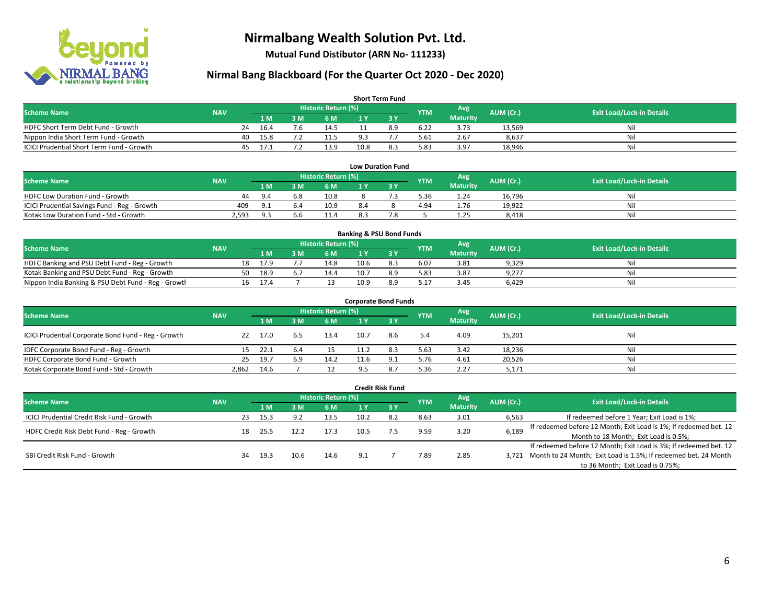

**Mutual Fund Distibutor (ARN No- 111233)**

## **Nirmal Bang Blackboard (For the Quarter Oct 2020 - Dec 2020)**

|                                                  |            |    |                |     |                            |      | <b>Short Term Fund</b> |            |                  |           |                                  |
|--------------------------------------------------|------------|----|----------------|-----|----------------------------|------|------------------------|------------|------------------|-----------|----------------------------------|
| <b>Scheme Name</b>                               | <b>NAV</b> |    |                |     | <b>Historic Return (%)</b> |      |                        | <b>YTM</b> | Avg <sup>1</sup> | AUM (Cr.) | <b>Exit Load/Lock-in Details</b> |
|                                                  |            |    | 1 <sub>M</sub> | 3 M | 6 M                        |      |                        |            | <b>Maturity</b>  |           |                                  |
| HDFC Short Term Debt Fund - Growth               |            | 24 | 16.4           | 7.6 | 14.5                       |      | 8.9                    | 6.22       | 3.73             | 13,569    | Ni                               |
| Nippon India Short Term Fund - Growth            |            | 40 | 15.8           |     | 11.5                       | a з  |                        | 5.61       | 2.67             | 8,637     | Ni                               |
| <b>ICICI Prudential Short Term Fund - Growth</b> |            | 45 | 17.1           |     | 13.9                       | 10.8 | 8.3                    | 5.83       | 3.97             | 18,946    | Nil                              |

| <b>Low Duration Fund</b>                     |            |            |     |                      |     |  |            |                 |           |                                  |  |  |  |
|----------------------------------------------|------------|------------|-----|----------------------|-----|--|------------|-----------------|-----------|----------------------------------|--|--|--|
| <b>Scheme Name</b>                           | <b>NAV</b> |            |     | Historic Return (%)' |     |  | <b>YTM</b> | Avg             | AUM (Cr.) | <b>Exit Load/Lock-in Details</b> |  |  |  |
|                                              |            | 1 M        | ١M  | 6 M                  |     |  |            | <b>Maturity</b> |           |                                  |  |  |  |
| <b>HDFC Low Duration Fund - Growth</b>       | 44         | 9.4        | 6.8 | 10.8                 |     |  | 5.36       | 1.24            | 16,796    | Nil                              |  |  |  |
| ICICI Prudential Savings Fund - Reg - Growth | 409        | <b>Q</b> 1 | 6.4 | 10.9                 | 8.4 |  | 4.94       | 1.76            | 19,922    | Nil                              |  |  |  |
| Kotak Low Duration Fund - Std - Growth       | 2,593      | 9.3        | b.b | 11.4                 | 8.3 |  |            | 1.25            | 8.418     | Nil                              |  |  |  |

| <b>Banking &amp; PSU Bond Funds</b>                 |            |    |      |  |                            |      |     |            |                 |           |                                  |  |  |
|-----------------------------------------------------|------------|----|------|--|----------------------------|------|-----|------------|-----------------|-----------|----------------------------------|--|--|
| <b>Scheme Name</b>                                  | <b>NAV</b> |    |      |  | <b>Historic Return (%)</b> |      |     | <b>YTM</b> | Avg             | AUM (Cr.) | <b>Exit Load/Lock-in Details</b> |  |  |
|                                                     |            |    | 1 M. |  | 6 M                        |      |     |            | <b>Maturity</b> |           |                                  |  |  |
| HDFC Banking and PSU Debt Fund - Reg - Growth       |            | 18 | 17.9 |  | 14.8                       | 10.6 | 8.3 | 6.07       | 3.81            | 9,329     | Nil                              |  |  |
| Kotak Banking and PSU Debt Fund - Reg - Growth      |            | 50 | 18.9 |  | 14.4                       | 10.7 | 8.9 | 5.83       | 3.87            | 9,277     | Nil                              |  |  |
| Nippon India Banking & PSU Debt Fund - Reg - Growth |            | 16 | 17.4 |  |                            | 10.9 | 8.9 | 5.17       | 3.45            | 6.429     | Nil                              |  |  |

| <b>Corporate Bond Funds</b>                         |            |      |     |                            |      |        |            |                 |           |                                  |  |  |  |  |
|-----------------------------------------------------|------------|------|-----|----------------------------|------|--------|------------|-----------------|-----------|----------------------------------|--|--|--|--|
| <b>Scheme Name</b>                                  | <b>NAV</b> |      |     | <b>Historic Return (%)</b> |      |        | <b>YTM</b> | Avg             | AUM (Cr.) | <b>Exit Load/Lock-in Details</b> |  |  |  |  |
|                                                     |            | 1 M  | 3 M | 6 M                        | 1 Y  | $Z_3V$ |            | <b>Maturity</b> |           |                                  |  |  |  |  |
| ICICI Prudential Corporate Bond Fund - Reg - Growth | 22         | 17.0 | 6.5 | 13.4                       | 10.7 | 8.6    | 5.4        | 4.09            | 15,201    | Nil                              |  |  |  |  |
| IDFC Corporate Bond Fund - Reg - Growth             | 15.        | 22.1 | 6.4 |                            | 11.2 | 8.3    | 5.63       | 3.42            | 18,236    | Nil                              |  |  |  |  |
| HDFC Corporate Bond Fund - Growth                   | 25         | 19.7 | 6.9 | 14.2                       | 11.6 |        | 5.76       | 4.61            | 20,526    | Nil                              |  |  |  |  |
| Kotak Corporate Bond Fund - Std - Growth            | 2,862      | 14.6 |     |                            |      |        | 5.36       | 2.27            | 5,171     | Nil                              |  |  |  |  |

| <b>Credit Risk Fund</b>                    |            |    |      |                |                     |      |            |            |                        |           |                                                                       |  |  |
|--------------------------------------------|------------|----|------|----------------|---------------------|------|------------|------------|------------------------|-----------|-----------------------------------------------------------------------|--|--|
| <b>Scheme Name</b>                         | <b>NAV</b> |    |      |                | Historic Return (%) |      |            | <b>YTM</b> | Avg<br><b>Maturity</b> | AUM (Cr.) | <b>Exit Load/Lock-in Details</b>                                      |  |  |
|                                            |            |    |      | 3 M            | 6 M                 |      | <b>73Y</b> |            |                        |           |                                                                       |  |  |
| ICICI Prudential Credit Risk Fund - Growth |            | 23 | 15.3 | Q <sub>0</sub> | 13.5                | 10.2 | 8.2        | 8.63       | 3.01                   | 6,563     | If redeemed before 1 Year; Exit Load is 1%;                           |  |  |
| HDFC Credit Risk Debt Fund - Reg - Growth  |            | 18 | 25.5 | 12.2           | 17.3                | 10.5 |            | 9.59       | 3.20                   | 6,189     | If redeemed before 12 Month; Exit Load is 1%; If redeemed bet. 12     |  |  |
|                                            |            |    |      |                |                     |      |            |            |                        |           | Month to 18 Month; Exit Load is 0.5%;                                 |  |  |
| SBI Credit Risk Fund - Growth              |            |    |      |                |                     |      |            |            |                        |           | If redeemed before 12 Month; Exit Load is 3%; If redeemed bet. 12     |  |  |
|                                            |            | 34 | 19.3 | 10.6           | 14.6                | 9.1  |            | 7.89       | 2.85                   |           | 3,721 Month to 24 Month; Exit Load is 1.5%; If redeemed bet. 24 Month |  |  |
|                                            |            |    |      |                |                     |      |            |            |                        |           | to 36 Month; Exit Load is 0.75%;                                      |  |  |

#### 6